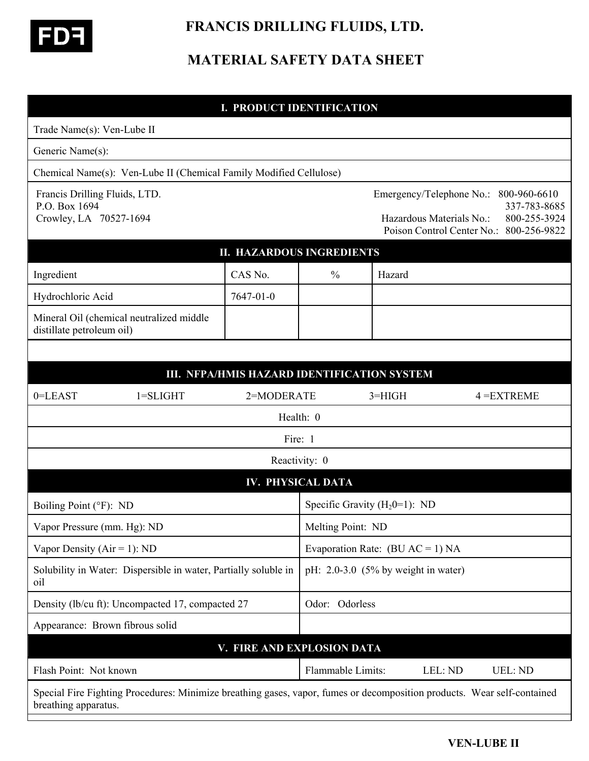

 **FRANCIS DRILLING FLUIDS, LTD.** 

# **MATERIAL SAFETY DATA SHEET**

| <b>I. PRODUCT IDENTIFICATION</b>                                                                                                                |                                             |                                       |                                                      |                                                                                         |  |
|-------------------------------------------------------------------------------------------------------------------------------------------------|---------------------------------------------|---------------------------------------|------------------------------------------------------|-----------------------------------------------------------------------------------------|--|
| Trade Name(s): Ven-Lube II                                                                                                                      |                                             |                                       |                                                      |                                                                                         |  |
| Generic Name(s):                                                                                                                                |                                             |                                       |                                                      |                                                                                         |  |
| Chemical Name(s): Ven-Lube II (Chemical Family Modified Cellulose)                                                                              |                                             |                                       |                                                      |                                                                                         |  |
| Francis Drilling Fluids, LTD.<br>P.O. Box 1694<br>Crowley, LA 70527-1694                                                                        |                                             |                                       | Emergency/Telephone No.:<br>Hazardous Materials No.: | 800-960-6610<br>337-783-8685<br>800-255-3924<br>Poison Control Center No.: 800-256-9822 |  |
| <b>II. HAZARDOUS INGREDIENTS</b>                                                                                                                |                                             |                                       |                                                      |                                                                                         |  |
| Ingredient                                                                                                                                      | CAS No.                                     | $\%$                                  | Hazard                                               |                                                                                         |  |
| Hydrochloric Acid                                                                                                                               | 7647-01-0                                   |                                       |                                                      |                                                                                         |  |
| Mineral Oil (chemical neutralized middle<br>distillate petroleum oil)                                                                           |                                             |                                       |                                                      |                                                                                         |  |
|                                                                                                                                                 |                                             |                                       |                                                      |                                                                                         |  |
|                                                                                                                                                 | III. NFPA/HMIS HAZARD IDENTIFICATION SYSTEM |                                       |                                                      |                                                                                         |  |
| $0 = LEAST$<br>$1 = SLIGHT$                                                                                                                     | 2=MODERATE                                  |                                       | $3=HIGH$                                             | $4 = EXTREME$                                                                           |  |
|                                                                                                                                                 |                                             | Health: 0                             |                                                      |                                                                                         |  |
|                                                                                                                                                 | Fire: 1                                     |                                       |                                                      |                                                                                         |  |
|                                                                                                                                                 |                                             | Reactivity: 0                         |                                                      |                                                                                         |  |
|                                                                                                                                                 |                                             | <b>IV. PHYSICAL DATA</b>              |                                                      |                                                                                         |  |
| Boiling Point (°F): ND                                                                                                                          |                                             | Specific Gravity $(H_20=1)$ : ND      |                                                      |                                                                                         |  |
| Vapor Pressure (mm. Hg): ND                                                                                                                     |                                             | Melting Point: ND                     |                                                      |                                                                                         |  |
| Vapor Density ( $Air = 1$ ): ND                                                                                                                 |                                             | Evaporation Rate: $(BU AC = 1) NA$    |                                                      |                                                                                         |  |
| Solubility in Water: Dispersible in water, Partially soluble in<br>oil                                                                          |                                             | pH: $2.0-3.0$ (5% by weight in water) |                                                      |                                                                                         |  |
| Density (lb/cu ft): Uncompacted 17, compacted 27                                                                                                |                                             | Odor: Odorless                        |                                                      |                                                                                         |  |
| Appearance: Brown fibrous solid                                                                                                                 |                                             |                                       |                                                      |                                                                                         |  |
|                                                                                                                                                 | V. FIRE AND EXPLOSION DATA                  |                                       |                                                      |                                                                                         |  |
| Flash Point: Not known                                                                                                                          |                                             | Flammable Limits:                     |                                                      | LEL: ND<br><b>UEL: ND</b>                                                               |  |
| Special Fire Fighting Procedures: Minimize breathing gases, vapor, fumes or decomposition products. Wear self-contained<br>breathing apparatus. |                                             |                                       |                                                      |                                                                                         |  |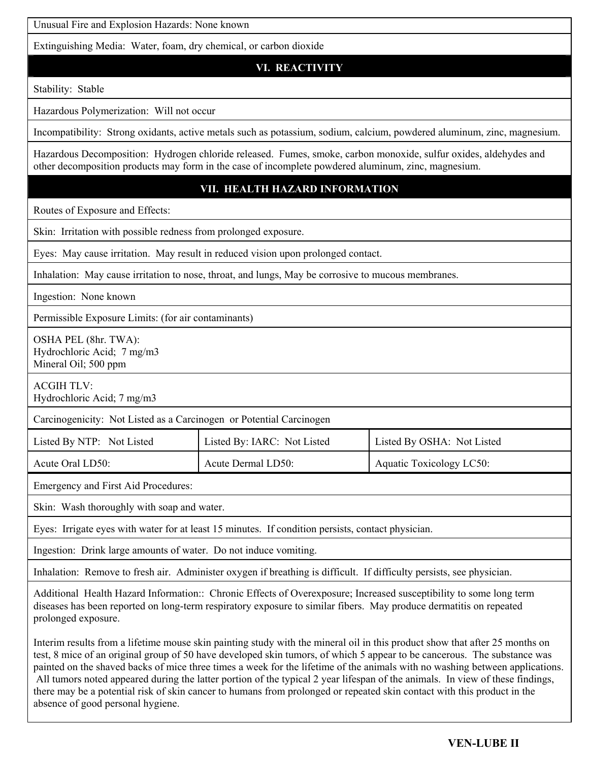Unusual Fire and Explosion Hazards: None known

Extinguishing Media: Water, foam, dry chemical, or carbon dioxide

## **VI. REACTIVITY**

Stability: Stable

Hazardous Polymerization: Will not occur

Incompatibility: Strong oxidants, active metals such as potassium, sodium, calcium, powdered aluminum, zinc, magnesium.

Hazardous Decomposition: Hydrogen chloride released. Fumes, smoke, carbon monoxide, sulfur oxides, aldehydes and other decomposition products may form in the case of incomplete powdered aluminum, zinc, magnesium.

### **VII. HEALTH HAZARD INFORMATION**

Routes of Exposure and Effects:

Skin: Irritation with possible redness from prolonged exposure.

Eyes: May cause irritation. May result in reduced vision upon prolonged contact.

Inhalation: May cause irritation to nose, throat, and lungs, May be corrosive to mucous membranes.

Ingestion: None known

Permissible Exposure Limits: (for air contaminants)

OSHA PEL (8hr. TWA): Hydrochloric Acid; 7 mg/m3 Mineral Oil; 500 ppm

ACGIH TLV:

Hydrochloric Acid; 7 mg/m3

Carcinogenicity: Not Listed as a Carcinogen or Potential Carcinogen

| Listed By NTP: Not Listed | Listed By: IARC: Not Listed | Listed By OSHA: Not Listed |
|---------------------------|-----------------------------|----------------------------|
| Acute Oral LD50:          | Acute Dermal LD50:          | Aquatic Toxicology LC50:   |

Emergency and First Aid Procedures:

Skin: Wash thoroughly with soap and water.

Eyes: Irrigate eyes with water for at least 15 minutes. If condition persists, contact physician.

Ingestion: Drink large amounts of water. Do not induce vomiting.

Inhalation: Remove to fresh air. Administer oxygen if breathing is difficult. If difficulty persists, see physician.

Additional Health Hazard Information:: Chronic Effects of Overexposure; Increased susceptibility to some long term diseases has been reported on long-term respiratory exposure to similar fibers. May produce dermatitis on repeated prolonged exposure.

Interim results from a lifetime mouse skin painting study with the mineral oil in this product show that after 25 months on test, 8 mice of an original group of 50 have developed skin tumors, of which 5 appear to be cancerous. The substance was painted on the shaved backs of mice three times a week for the lifetime of the animals with no washing between applications. All tumors noted appeared during the latter portion of the typical 2 year lifespan of the animals. In view of these findings, there may be a potential risk of skin cancer to humans from prolonged or repeated skin contact with this product in the absence of good personal hygiene.